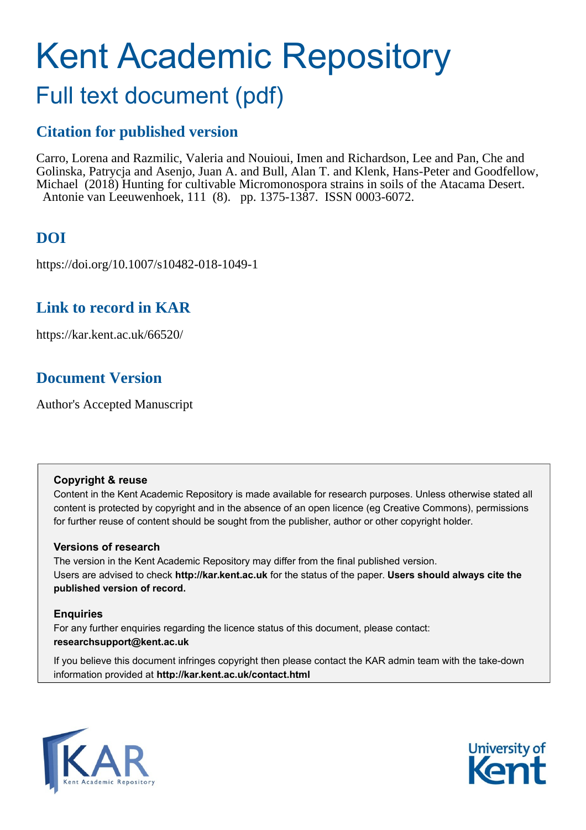# Kent Academic Repository

## Full text document (pdf)

## **Citation for published version**

Carro, Lorena and Razmilic, Valeria and Nouioui, Imen and Richardson, Lee and Pan, Che and Golinska, Patrycja and Asenjo, Juan A. and Bull, Alan T. and Klenk, Hans-Peter and Goodfellow, Michael (2018) Hunting for cultivable Micromonospora strains in soils of the Atacama Desert. Antonie van Leeuwenhoek, 111 (8). pp. 1375-1387. ISSN 0003-6072.

## **DOI**

https://doi.org/10.1007/s10482-018-1049-1

### **Link to record in KAR**

https://kar.kent.ac.uk/66520/

## **Document Version**

Author's Accepted Manuscript

#### **Copyright & reuse**

Content in the Kent Academic Repository is made available for research purposes. Unless otherwise stated all content is protected by copyright and in the absence of an open licence (eg Creative Commons), permissions for further reuse of content should be sought from the publisher, author or other copyright holder.

#### **Versions of research**

The version in the Kent Academic Repository may differ from the final published version. Users are advised to check **http://kar.kent.ac.uk** for the status of the paper. **Users should always cite the published version of record.**

#### **Enquiries**

For any further enquiries regarding the licence status of this document, please contact: **researchsupport@kent.ac.uk**

If you believe this document infringes copyright then please contact the KAR admin team with the take-down information provided at **http://kar.kent.ac.uk/contact.html**



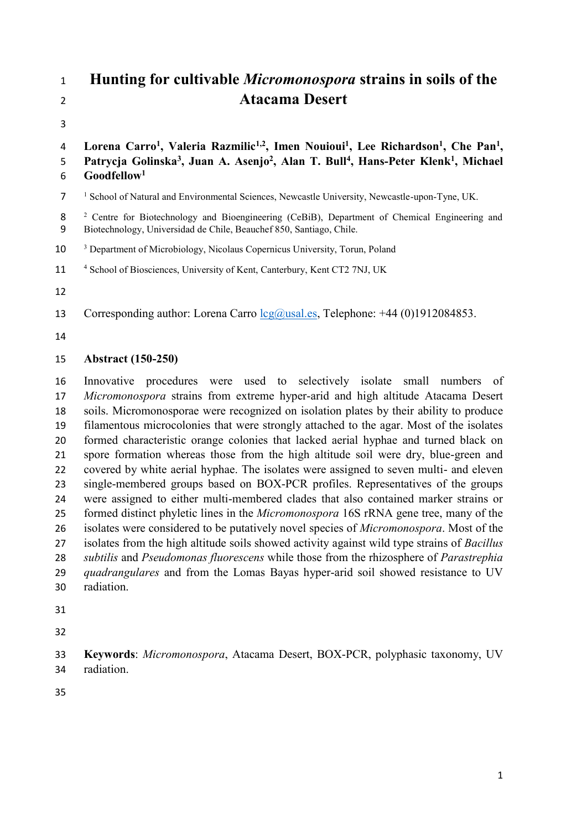## **Hunting for cultivable** *Micromonospora* **strains in soils of the Atacama Desert**

4 Lorena Carro<sup>1</sup>, Valeria Razmilic<sup>1,2</sup>, Imen Nouioui<sup>1</sup>, Lee Richardson<sup>1</sup>, Che Pan<sup>1</sup>, 5 Patrycja Golinska<sup>3</sup>, Juan A. Asenjo<sup>2</sup>, Alan T. Bull<sup>4</sup>, Hans-Peter Klenk<sup>1</sup>, Michael **Goodfellow<sup>1</sup>**

<sup>1</sup> School of Natural and Environmental Sciences, Newcastle University, Newcastle-upon-Tyne, UK.

8<sup>2</sup> Centre for Biotechnology and Bioengineering (CeBiB), Department of Chemical Engineering and Biotechnology, Universidad de Chile, Beauchef 850, Santiago, Chile.

<sup>3</sup> Department of Microbiology, Nicolaus Copernicus University, Torun, Poland

11 <sup>4</sup> School of Biosciences, University of Kent, Canterbury, Kent CT2 7NJ, UK

13 Corresponding author: Lorena Carro [lcg@usal.es,](mailto:lcg@usal.es) Telephone: +44 (0)1912084853.

#### **Abstract (150-250)**

 Innovative procedures were used to selectively isolate small numbers of *Micromonospora* strains from extreme hyper-arid and high altitude Atacama Desert soils. Micromonosporae were recognized on isolation plates by their ability to produce filamentous microcolonies that were strongly attached to the agar. Most of the isolates formed characteristic orange colonies that lacked aerial hyphae and turned black on spore formation whereas those from the high altitude soil were dry, blue-green and covered by white aerial hyphae. The isolates were assigned to seven multi- and eleven single-membered groups based on BOX-PCR profiles. Representatives of the groups were assigned to either multi-membered clades that also contained marker strains or formed distinct phyletic lines in the *Micromonospora* 16S rRNA gene tree, many of the isolates were considered to be putatively novel species of *Micromonospora*. Most of the isolates from the high altitude soils showed activity against wild type strains of *Bacillus subtilis* and *Pseudomonas fluorescens* while those from the rhizosphere of *Parastrephia quadrangulares* and from the Lomas Bayas hyper-arid soil showed resistance to UV radiation.

 **Keywords**: *Micromonospora*, Atacama Desert, BOX-PCR, polyphasic taxonomy, UV radiation.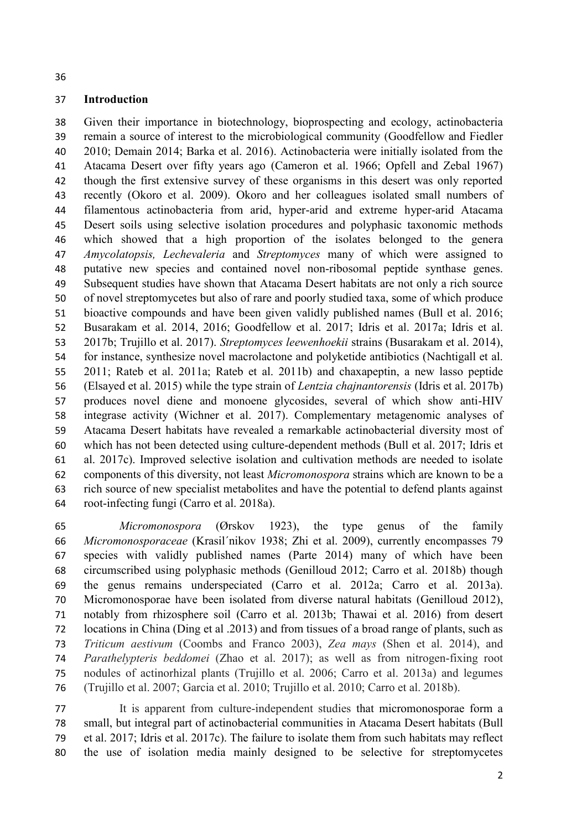#### **Introduction**

 Given their importance in biotechnology, bioprospecting and ecology, actinobacteria remain a source of interest to the microbiological community (Goodfellow and Fiedler 2010; Demain 2014; Barka et al. 2016). Actinobacteria were initially isolated from the Atacama Desert over fifty years ago (Cameron et al. 1966; Opfell and Zebal 1967) though the first extensive survey of these organisms in this desert was only reported recently (Okoro et al. 2009). Okoro and her colleagues isolated small numbers of filamentous actinobacteria from arid, hyper-arid and extreme hyper-arid Atacama Desert soils using selective isolation procedures and polyphasic taxonomic methods which showed that a high proportion of the isolates belonged to the genera *Amycolatopsis, Lechevaleria* and *Streptomyces* many of which were assigned to putative new species and contained novel non-ribosomal peptide synthase genes. Subsequent studies have shown that Atacama Desert habitats are not only a rich source of novel streptomycetes but also of rare and poorly studied taxa, some of which produce bioactive compounds and have been given validly published names (Bull et al. 2016; Busarakam et al. 2014, 2016; Goodfellow et al. 2017; Idris et al. 2017a; Idris et al. 2017b; Trujillo et al. 2017). *Streptomyces leewenhoekii* strains (Busarakam et al. 2014), for instance, synthesize novel macrolactone and polyketide antibiotics (Nachtigall et al. 2011; Rateb et al. 2011a; Rateb et al. 2011b) and chaxapeptin, a new lasso peptide (Elsayed et al. 2015) while the type strain of *Lentzia chajnantorensis* (Idris et al. 2017b) produces novel diene and monoene glycosides, several of which show anti-HIV integrase activity (Wichner et al. 2017). Complementary metagenomic analyses of Atacama Desert habitats have revealed a remarkable actinobacterial diversity most of which has not been detected using culture-dependent methods (Bull et al. 2017; Idris et al. 2017c). Improved selective isolation and cultivation methods are needed to isolate components of this diversity, not least *Micromonospora* strains which are known to be a rich source of new specialist metabolites and have the potential to defend plants against root-infecting fungi (Carro et al. 2018a).

 *Micromonospora* (Ørskov 1923), the type genus of the family *Micromonosporaceae* (Krasil´nikov 1938; Zhi et al. 2009), currently encompasses 79 species with validly published names (Parte 2014) many of which have been circumscribed using polyphasic methods (Genilloud 2012; Carro et al. 2018b) though the genus remains underspeciated (Carro et al. 2012a; Carro et al. 2013a). Micromonosporae have been isolated from diverse natural habitats (Genilloud 2012), notably from rhizosphere soil (Carro et al. 2013b; Thawai et al. 2016) from desert locations in China (Ding et al .2013) and from tissues of a broad range of plants, such as *Triticum aestivum* (Coombs and Franco 2003), *Zea mays* (Shen et al. 2014), and *Parathelypteris beddomei* (Zhao et al. 2017); as well as from nitrogen-fixing root nodules of actinorhizal plants (Trujillo et al. 2006; Carro et al. 2013a) and legumes (Trujillo et al. 2007; Garcia et al. 2010; Trujillo et al. 2010; Carro et al. 2018b).

 It is apparent from culture-independent studies that micromonosporae form a small, but integral part of actinobacterial communities in Atacama Desert habitats (Bull et al. 2017; Idris et al. 2017c). The failure to isolate them from such habitats may reflect the use of isolation media mainly designed to be selective for streptomycetes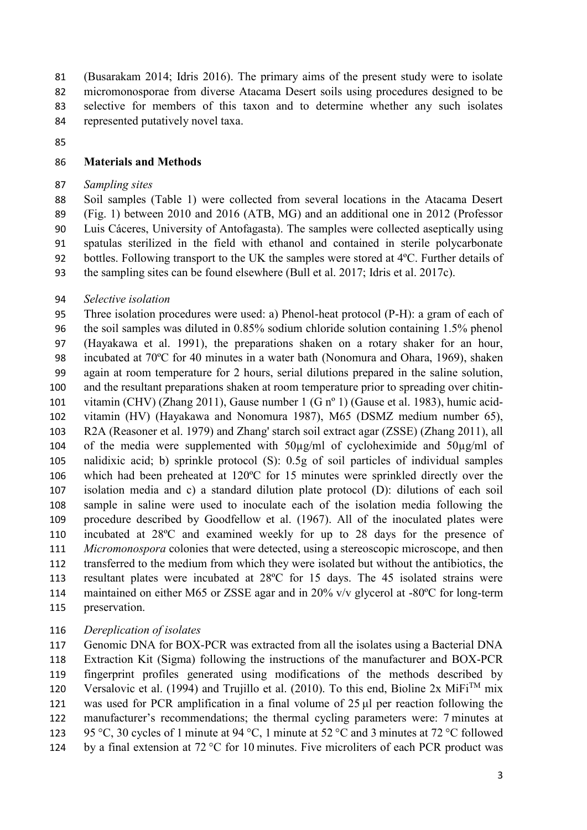(Busarakam 2014; Idris 2016). The primary aims of the present study were to isolate micromonosporae from diverse Atacama Desert soils using procedures designed to be selective for members of this taxon and to determine whether any such isolates represented putatively novel taxa.

#### **Materials and Methods**

#### *Sampling sites*

 Soil samples (Table 1) were collected from several locations in the Atacama Desert (Fig. 1) between 2010 and 2016 (ATB, MG) and an additional one in 2012 (Professor Luis Cáceres, University of Antofagasta). The samples were collected aseptically using spatulas sterilized in the field with ethanol and contained in sterile polycarbonate bottles. Following transport to the UK the samples were stored at 4ºC. Further details of the sampling sites can be found elsewhere (Bull et al. 2017; Idris et al. 2017c).

#### *Selective isolation*

 Three isolation procedures were used: a) Phenol-heat protocol (P-H): a gram of each of the soil samples was diluted in 0.85% sodium chloride solution containing 1.5% phenol (Hayakawa et al. 1991), the preparations shaken on a rotary shaker for an hour, incubated at 70ºC for 40 minutes in a water bath (Nonomura and Ohara, 1969), shaken again at room temperature for 2 hours, serial dilutions prepared in the saline solution, and the resultant preparations shaken at room temperature prior to spreading over chitin- vitamin (CHV) (Zhang 2011), Gause number 1 (G nº 1) (Gause et al. 1983), humic acid- vitamin (HV) (Hayakawa and Nonomura 1987), M65 (DSMZ medium number 65), R2A (Reasoner et al. 1979) and Zhang' starch soil extract agar (ZSSE) (Zhang 2011), all of the media were supplemented with 50µg/ml of cycloheximide and 50µg/ml of nalidixic acid; b) sprinkle protocol (S): 0.5g of soil particles of individual samples which had been preheated at 120ºC for 15 minutes were sprinkled directly over the isolation media and c) a standard dilution plate protocol (D): dilutions of each soil sample in saline were used to inoculate each of the isolation media following the procedure described by Goodfellow et al. (1967). All of the inoculated plates were incubated at 28ºC and examined weekly for up to 28 days for the presence of *Micromonospora* colonies that were detected, using a stereoscopic microscope, and then transferred to the medium from which they were isolated but without the antibiotics, the resultant plates were incubated at 28ºC for 15 days. The 45 isolated strains were maintained on either M65 or ZSSE agar and in 20% v/v glycerol at -80ºC for long-term preservation.

#### *Dereplication of isolates*

 Genomic DNA for BOX-PCR was extracted from all the isolates using a Bacterial DNA Extraction Kit (Sigma) following the instructions of the manufacturer and BOX-PCR fingerprint profiles generated using modifications of the methods described by 120 Versalovic et al. (1994) and Trujillo et al. (2010). To this end, Bioline 2x MiFi<sup>TM</sup> mix was used for PCR amplification in a final volume of 25 μl per reaction following the manufacturer's recommendations; the thermal cycling parameters were: 7 minutes at 95 °C, 30 cycles of 1 minute at 94 °C, 1 minute at 52 °C and 3 minutes at 72 °C followed by a final extension at 72 °C for 10 minutes. Five microliters of each PCR product was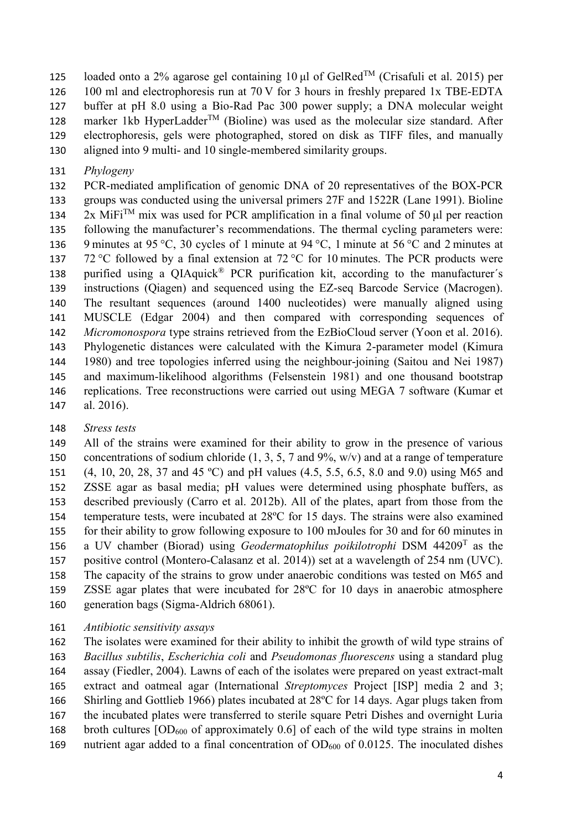125 loaded onto a 2% agarose gel containing 10 μl of GelRed<sup>TM</sup> (Crisafuli et al. 2015) per 100 ml and electrophoresis run at 70 V for 3 hours in freshly prepared 1x TBE-EDTA buffer at pH 8.0 using a Bio-Rad Pac 300 power supply; a DNA molecular weight 128 marker 1kb HyperLadder<sup>TM</sup> (Bioline) was used as the molecular size standard. After electrophoresis, gels were photographed, stored on disk as TIFF files, and manually aligned into 9 multi- and 10 single-membered similarity groups.

*Phylogeny*

 PCR-mediated amplification of genomic DNA of 20 representatives of the BOX-PCR groups was conducted using the universal primers 27F and 1522R (Lane 1991). Bioline  $2x$  MiFi<sup>TM</sup> mix was used for PCR amplification in a final volume of 50 µl per reaction following the manufacturer's recommendations. The thermal cycling parameters were: 9 minutes at 95 °C, 30 cycles of 1 minute at 94 °C, 1 minute at 56 °C and 2 minutes at 137 72 °C followed by a final extension at 72 °C for 10 minutes. The PCR products were 138 purified using a  $QIAquick^{\circledR}$  PCR purification kit, according to the manufacturer's instructions (Qiagen) and sequenced using the EZ-seq Barcode Service (Macrogen). The resultant sequences (around 1400 nucleotides) were manually aligned using MUSCLE (Edgar 2004) and then compared with corresponding sequences of *Micromonospora* type strains retrieved from the EzBioCloud server (Yoon et al. 2016). Phylogenetic distances were calculated with the Kimura 2-parameter model (Kimura 1980) and tree topologies inferred using the neighbour-joining (Saitou and Nei 1987) and maximum-likelihood algorithms (Felsenstein 1981) and one thousand bootstrap replications. Tree reconstructions were carried out using MEGA 7 software (Kumar et al. 2016).

*Stress tests*

 All of the strains were examined for their ability to grow in the presence of various concentrations of sodium chloride (1, 3, 5, 7 and 9%, w/v) and at a range of temperature (4, 10, 20, 28, 37 and 45 ºC) and pH values (4.5, 5.5, 6.5, 8.0 and 9.0) using M65 and ZSSE agar as basal media; pH values were determined using phosphate buffers, as described previously (Carro et al. 2012b). All of the plates, apart from those from the temperature tests, were incubated at 28ºC for 15 days. The strains were also examined for their ability to grow following exposure to 100 mJoules for 30 and for 60 minutes in 156 a UV chamber (Biorad) using *Geodermatophilus poikilotrophi* DSM 44209<sup>T</sup> as the positive control (Montero-Calasanz et al. 2014)) set at a wavelength of 254 nm (UVC). The capacity of the strains to grow under anaerobic conditions was tested on M65 and ZSSE agar plates that were incubated for 28ºC for 10 days in anaerobic atmosphere generation bags (Sigma-Aldrich 68061).

*Antibiotic sensitivity assays*

 The isolates were examined for their ability to inhibit the growth of wild type strains of *Bacillus subtilis*, *Escherichia coli* and *Pseudomonas fluorescens* using a standard plug assay (Fiedler, 2004). Lawns of each of the isolates were prepared on yeast extract-malt extract and oatmeal agar (International *Streptomyces* Project [ISP] media 2 and 3; Shirling and Gottlieb 1966) plates incubated at 28ºC for 14 days. Agar plugs taken from the incubated plates were transferred to sterile square Petri Dishes and overnight Luria 168 broth cultures  $[OD<sub>600</sub>$  of approximately 0.6] of each of the wild type strains in molten

169 nutrient agar added to a final concentration of  $OD_{600}$  of 0.0125. The inoculated dishes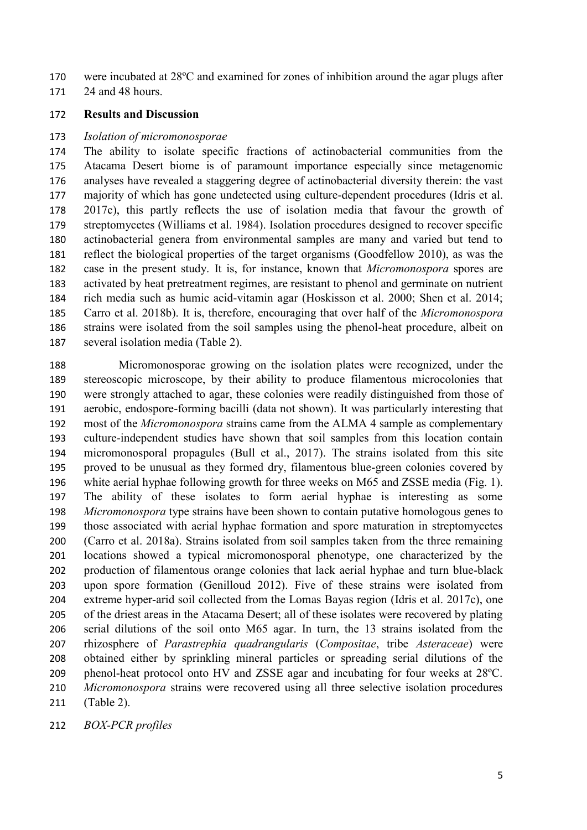were incubated at 28ºC and examined for zones of inhibition around the agar plugs after

24 and 48 hours.

#### **Results and Discussion**

#### *Isolation of micromonosporae*

 The ability to isolate specific fractions of actinobacterial communities from the Atacama Desert biome is of paramount importance especially since metagenomic analyses have revealed a staggering degree of actinobacterial diversity therein: the vast majority of which has gone undetected using culture-dependent procedures (Idris et al. 2017c), this partly reflects the use of isolation media that favour the growth of streptomycetes (Williams et al. 1984). Isolation procedures designed to recover specific actinobacterial genera from environmental samples are many and varied but tend to reflect the biological properties of the target organisms (Goodfellow 2010), as was the case in the present study. It is, for instance, known that *Micromonospora* spores are activated by heat pretreatment regimes, are resistant to phenol and germinate on nutrient rich media such as humic acid-vitamin agar (Hoskisson et al. 2000; Shen et al. 2014; Carro et al. 2018b). It is, therefore, encouraging that over half of the *Micromonospora* strains were isolated from the soil samples using the phenol-heat procedure, albeit on several isolation media (Table 2).

 Micromonosporae growing on the isolation plates were recognized, under the stereoscopic microscope, by their ability to produce filamentous microcolonies that were strongly attached to agar, these colonies were readily distinguished from those of aerobic, endospore-forming bacilli (data not shown). It was particularly interesting that most of the *Micromonospora* strains came from the ALMA 4 sample as complementary culture-independent studies have shown that soil samples from this location contain micromonosporal propagules (Bull et al., 2017). The strains isolated from this site proved to be unusual as they formed dry, filamentous blue-green colonies covered by white aerial hyphae following growth for three weeks on M65 and ZSSE media (Fig. 1). The ability of these isolates to form aerial hyphae is interesting as some *Micromonospora* type strains have been shown to contain putative homologous genes to those associated with aerial hyphae formation and spore maturation in streptomycetes (Carro et al. 2018a). Strains isolated from soil samples taken from the three remaining locations showed a typical micromonosporal phenotype, one characterized by the production of filamentous orange colonies that lack aerial hyphae and turn blue-black upon spore formation (Genilloud 2012). Five of these strains were isolated from extreme hyper-arid soil collected from the Lomas Bayas region (Idris et al. 2017c), one of the driest areas in the Atacama Desert; all of these isolates were recovered by plating serial dilutions of the soil onto M65 agar. In turn, the 13 strains isolated from the rhizosphere of *Parastrephia quadrangularis* (*Compositae*, tribe *Asteraceae*) were obtained either by sprinkling mineral particles or spreading serial dilutions of the phenol-heat protocol onto HV and ZSSE agar and incubating for four weeks at 28ºC. *Micromonospora* strains were recovered using all three selective isolation procedures (Table 2).

*BOX-PCR profiles*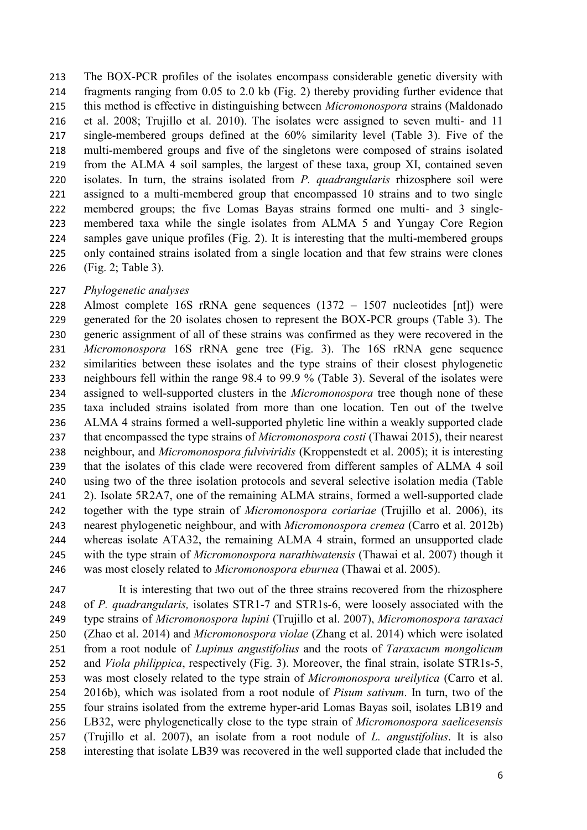The BOX-PCR profiles of the isolates encompass considerable genetic diversity with fragments ranging from 0.05 to 2.0 kb (Fig. 2) thereby providing further evidence that this method is effective in distinguishing between *Micromonospora* strains (Maldonado et al. 2008; Trujillo et al. 2010). The isolates were assigned to seven multi- and 11 single-membered groups defined at the 60% similarity level (Table 3). Five of the multi-membered groups and five of the singletons were composed of strains isolated from the ALMA 4 soil samples, the largest of these taxa, group XI, contained seven isolates. In turn, the strains isolated from *P. quadrangularis* rhizosphere soil were assigned to a multi-membered group that encompassed 10 strains and to two single membered groups; the five Lomas Bayas strains formed one multi- and 3 single- membered taxa while the single isolates from ALMA 5 and Yungay Core Region samples gave unique profiles (Fig. 2). It is interesting that the multi-membered groups only contained strains isolated from a single location and that few strains were clones (Fig. 2; Table 3).

#### *Phylogenetic analyses*

 Almost complete 16S rRNA gene sequences (1372 – 1507 nucleotides [nt]) were generated for the 20 isolates chosen to represent the BOX-PCR groups (Table 3). The generic assignment of all of these strains was confirmed as they were recovered in the *Micromonospora* 16S rRNA gene tree (Fig. 3). The 16S rRNA gene sequence similarities between these isolates and the type strains of their closest phylogenetic neighbours fell within the range 98.4 to 99.9 % (Table 3). Several of the isolates were assigned to well-supported clusters in the *Micromonospora* tree though none of these taxa included strains isolated from more than one location. Ten out of the twelve ALMA 4 strains formed a well-supported phyletic line within a weakly supported clade that encompassed the type strains of *Micromonospora costi* (Thawai 2015), their nearest neighbour, and *Micromonospora fulviviridis* (Kroppenstedt et al. 2005); it is interesting that the isolates of this clade were recovered from different samples of ALMA 4 soil using two of the three isolation protocols and several selective isolation media (Table 2). Isolate 5R2A7, one of the remaining ALMA strains, formed a well-supported clade together with the type strain of *Micromonospora coriariae* (Trujillo et al. 2006), its nearest phylogenetic neighbour, and with *Micromonospora cremea* (Carro et al. 2012b) whereas isolate ATA32, the remaining ALMA 4 strain, formed an unsupported clade with the type strain of *Micromonospora narathiwatensis* (Thawai et al. 2007) though it was most closely related to *Micromonospora eburnea* (Thawai et al. 2005).

 It is interesting that two out of the three strains recovered from the rhizosphere of *P. quadrangularis,* isolates STR1-7 and STR1s-6, were loosely associated with the type strains of *Micromonospora lupini* (Trujillo et al. 2007), *Micromonospora taraxaci* (Zhao et al. 2014) and *Micromonospora violae* (Zhang et al. 2014) which were isolated from a root nodule of *Lupinus angustifolius* and the roots of *Taraxacum mongolicum* and *Viola philippica*, respectively (Fig. 3). Moreover, the final strain, isolate STR1s-5, was most closely related to the type strain of *Micromonospora ureilytica* (Carro et al. 2016b), which was isolated from a root nodule of *Pisum sativum*. In turn, two of the four strains isolated from the extreme hyper-arid Lomas Bayas soil, isolates LB19 and LB32, were phylogenetically close to the type strain of *Micromonospora saelicesensis* (Trujillo et al. 2007), an isolate from a root nodule of *L. angustifolius*. It is also interesting that isolate LB39 was recovered in the well supported clade that included the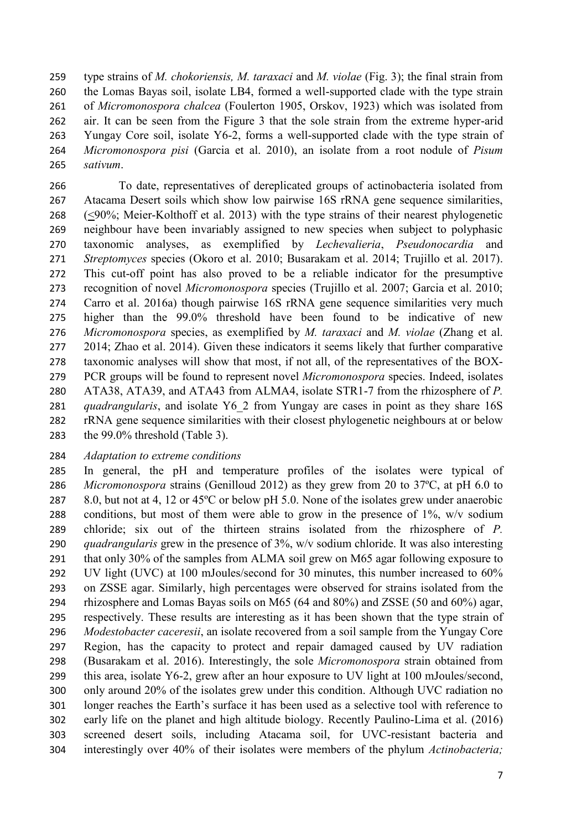type strains of *M. chokoriensis, M. taraxaci* and *M. violae* (Fig. 3); the final strain from the Lomas Bayas soil, isolate LB4, formed a well-supported clade with the type strain of *Micromonospora chalcea* (Foulerton 1905, Orskov, 1923) which was isolated from air. It can be seen from the Figure 3 that the sole strain from the extreme hyper-arid Yungay Core soil, isolate Y6-2, forms a well-supported clade with the type strain of *Micromonospora pisi* (Garcia et al. 2010), an isolate from a root nodule of *Pisum sativum*.

 To date, representatives of dereplicated groups of actinobacteria isolated from Atacama Desert soils which show low pairwise 16S rRNA gene sequence similarities, (<90%; Meier-Kolthoff et al. 2013) with the type strains of their nearest phylogenetic neighbour have been invariably assigned to new species when subject to polyphasic taxonomic analyses, as exemplified by *Lechevalieria*, *Pseudonocardia* and *Streptomyces* species (Okoro et al. 2010; Busarakam et al. 2014; Trujillo et al. 2017). This cut-off point has also proved to be a reliable indicator for the presumptive recognition of novel *Micromonospora* species (Trujillo et al. 2007; Garcia et al. 2010; Carro et al. 2016a) though pairwise 16S rRNA gene sequence similarities very much higher than the 99.0% threshold have been found to be indicative of new *Micromonospora* species, as exemplified by *M. taraxaci* and *M. violae* (Zhang et al. 2014; Zhao et al. 2014). Given these indicators it seems likely that further comparative taxonomic analyses will show that most, if not all, of the representatives of the BOX- PCR groups will be found to represent novel *Micromonospora* species. Indeed, isolates ATA38, ATA39, and ATA43 from ALMA4, isolate STR1-7 from the rhizosphere of *P. quadrangularis*, and isolate Y6\_2 from Yungay are cases in point as they share 16S rRNA gene sequence similarities with their closest phylogenetic neighbours at or below the 99.0% threshold (Table 3).

#### *Adaptation to extreme conditions*

 In general, the pH and temperature profiles of the isolates were typical of *Micromonospora* strains (Genilloud 2012) as they grew from 20 to 37ºC, at pH 6.0 to 287 8.0, but not at 4, 12 or 45<sup>o</sup>C or below pH 5.0. None of the isolates grew under anaerobic conditions, but most of them were able to grow in the presence of 1%, w/v sodium chloride; six out of the thirteen strains isolated from the rhizosphere of *P. quadrangularis* grew in the presence of 3%, w/v sodium chloride. It was also interesting that only 30% of the samples from ALMA soil grew on M65 agar following exposure to UV light (UVC) at 100 mJoules/second for 30 minutes, this number increased to 60% on ZSSE agar. Similarly, high percentages were observed for strains isolated from the rhizosphere and Lomas Bayas soils on M65 (64 and 80%) and ZSSE (50 and 60%) agar, respectively. These results are interesting as it has been shown that the type strain of *Modestobacter caceresii*, an isolate recovered from a soil sample from the Yungay Core Region, has the capacity to protect and repair damaged caused by UV radiation (Busarakam et al. 2016). Interestingly, the sole *Micromonospora* strain obtained from this area, isolate Y6-2, grew after an hour exposure to UV light at 100 mJoules/second, only around 20% of the isolates grew under this condition. Although UVC radiation no longer reaches the Earth's surface it has been used as a selective tool with reference to early life on the planet and high altitude biology. Recently Paulino-Lima et al. (2016) screened desert soils, including Atacama soil, for UVC-resistant bacteria and interestingly over 40% of their isolates were members of the phylum *Actinobacteria;*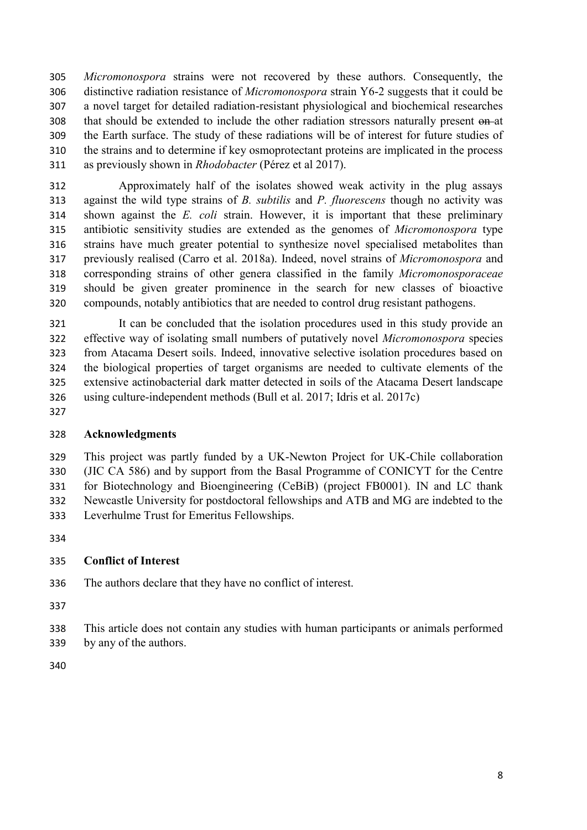*Micromonospora* strains were not recovered by these authors. Consequently, the distinctive radiation resistance of *Micromonospora* strain Y6-2 suggests that it could be a novel target for detailed radiation-resistant physiological and biochemical researches that should be extended to include the other radiation stressors naturally present on at the Earth surface. The study of these radiations will be of interest for future studies of the strains and to determine if key osmoprotectant proteins are implicated in the process as previously shown in *Rhodobacter* (Pérez et al 2017).

 Approximately half of the isolates showed weak activity in the plug assays against the wild type strains of *B. subtilis* and *P. fluorescens* though no activity was shown against the *E. coli* strain. However, it is important that these preliminary antibiotic sensitivity studies are extended as the genomes of *Micromonospora* type strains have much greater potential to synthesize novel specialised metabolites than previously realised (Carro et al. 2018a). Indeed, novel strains of *Micromonospora* and corresponding strains of other genera classified in the family *Micromonosporaceae* should be given greater prominence in the search for new classes of bioactive compounds, notably antibiotics that are needed to control drug resistant pathogens.

 It can be concluded that the isolation procedures used in this study provide an effective way of isolating small numbers of putatively novel *Micromonospora* species from Atacama Desert soils. Indeed, innovative selective isolation procedures based on the biological properties of target organisms are needed to cultivate elements of the extensive actinobacterial dark matter detected in soils of the Atacama Desert landscape using culture-independent methods (Bull et al. 2017; Idris et al. 2017c)

#### **Acknowledgments**

 This project was partly funded by a UK-Newton Project for UK-Chile collaboration (JIC CA 586) and by support from the Basal Programme of CONICYT for the Centre for Biotechnology and Bioengineering (CeBiB) (project FB0001). IN and LC thank Newcastle University for postdoctoral fellowships and ATB and MG are indebted to the Leverhulme Trust for Emeritus Fellowships.

#### **Conflict of Interest**

The authors declare that they have no conflict of interest.

- 
- This article does not contain any studies with human participants or animals performed by any of the authors.
-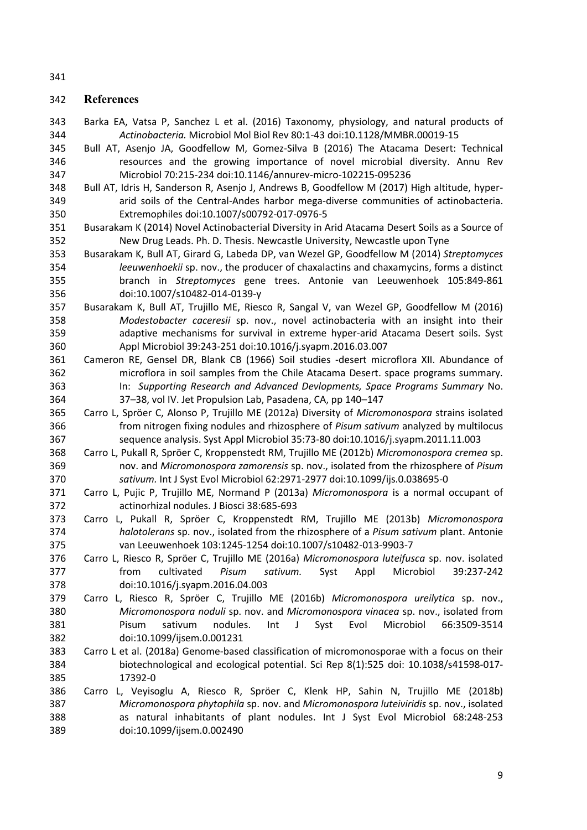#### **References**

- Barka EA, Vatsa P, Sanchez L et al. (2016) Taxonomy, physiology, and natural products of *Actinobacteria.* Microbiol Mol Biol Rev 80:1-43 doi:10.1128/MMBR.00019-15
- Bull AT, Asenjo JA, Goodfellow M, Gomez-Silva B (2016) The Atacama Desert: Technical resources and the growing importance of novel microbial diversity. Annu Rev Microbiol 70:215-234 doi:10.1146/annurev-micro-102215-095236
- Bull AT, Idris H, Sanderson R, Asenjo J, Andrews B, Goodfellow M (2017) High altitude, hyper- arid soils of the Central-Andes harbor mega-diverse communities of actinobacteria. Extremophiles doi:10.1007/s00792-017-0976-5
- Busarakam K (2014) Novel Actinobacterial Diversity in Arid Atacama Desert Soils as a Source of New Drug Leads. Ph. D. Thesis. Newcastle University, Newcastle upon Tyne
- Busarakam K, Bull AT, Girard G, Labeda DP, van Wezel GP, Goodfellow M (2014) *Streptomyces leeuwenhoekii* sp. nov., the producer of chaxalactins and chaxamycins, forms a distinct branch in *Streptomyces* gene trees. Antonie van Leeuwenhoek 105:849-861 doi:10.1007/s10482-014-0139-y
- Busarakam K, Bull AT, Trujillo ME, Riesco R, Sangal V, van Wezel GP, Goodfellow M (2016) *Modestobacter caceresii* sp. nov., novel actinobacteria with an insight into their adaptive mechanisms for survival in extreme hyper-arid Atacama Desert soils. Syst Appl Microbiol 39:243-251 doi:10.1016/j.syapm.2016.03.007
- Cameron RE, Gensel DR, Blank CB (1966) Soil studies -desert microflora XII. Abundance of microflora in soil samples from the Chile Atacama Desert. space programs summary. In: *Supporting Research and Advanced Devlopments, Space Programs Summary* No. 37–38, vol IV. Jet Propulsion Lab, Pasadena, CA, pp 140–147
- Carro L, Spröer C, Alonso P, Trujillo ME (2012a) Diversity of *Micromonospora* strains isolated from nitrogen fixing nodules and rhizosphere of *Pisum sativum* analyzed by multilocus sequence analysis. Syst Appl Microbiol 35:73-80 doi:10.1016/j.syapm.2011.11.003
- Carro L, Pukall R, Spröer C, Kroppenstedt RM, Trujillo ME (2012b) *Micromonospora cremea* sp. nov. and *Micromonospora zamorensis* sp. nov., isolated from the rhizosphere of *Pisum sativum.* Int J Syst Evol Microbiol 62:2971-2977 doi:10.1099/ijs.0.038695-0
- Carro L, Pujic P, Trujillo ME, Normand P (2013a) *Micromonospora* is a normal occupant of actinorhizal nodules. J Biosci 38:685-693
- Carro L, Pukall R, Spröer C, Kroppenstedt RM, Trujillo ME (2013b) *Micromonospora halotolerans* sp. nov., isolated from the rhizosphere of a *Pisum sativum* plant. Antonie van Leeuwenhoek 103:1245-1254 doi:10.1007/s10482-013-9903-7
- Carro L, Riesco R, Spröer C, Trujillo ME (2016a) *Micromonospora luteifusca* sp. nov. isolated from cultivated *Pisum sativum.* Syst Appl Microbiol 39:237-242 doi:10.1016/j.syapm.2016.04.003
- Carro L, Riesco R, Spröer C, Trujillo ME (2016b) *Micromonospora ureilytica* sp. nov., *Micromonospora noduli* sp. nov. and *Micromonospora vinacea* sp. nov., isolated from Pisum sativum nodules. Int J Syst Evol Microbiol 66:3509-3514 doi:10.1099/ijsem.0.001231
- Carro L et al. (2018a) Genome-based classification of micromonosporae with a focus on their biotechnological and ecological potential. Sci Rep 8(1):525 doi: 10.1038/s41598-017- 17392-0
- Carro L, Veyisoglu A, Riesco R, Spröer C, Klenk HP, Sahin N, Trujillo ME (2018b) *Micromonospora phytophila* sp. nov. and *Micromonospora luteiviridis* sp. nov., isolated as natural inhabitants of plant nodules. Int J Syst Evol Microbiol 68:248-253 doi:10.1099/ijsem.0.002490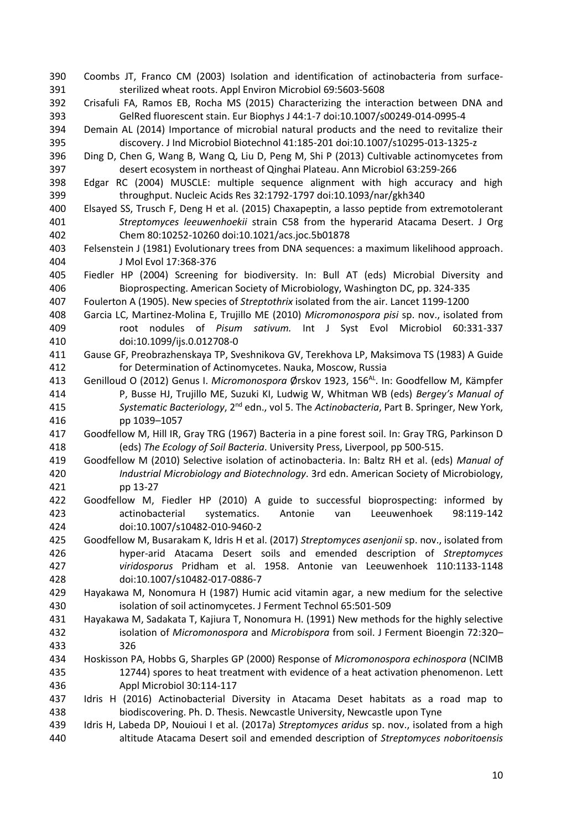- Coombs JT, Franco CM (2003) Isolation and identification of actinobacteria from surface-sterilized wheat roots. Appl Environ Microbiol 69:5603-5608
- Crisafuli FA, Ramos EB, Rocha MS (2015) Characterizing the interaction between DNA and GelRed fluorescent stain. Eur Biophys J 44:1-7 doi:10.1007/s00249-014-0995-4
- Demain AL (2014) Importance of microbial natural products and the need to revitalize their discovery. J Ind Microbiol Biotechnol 41:185-201 doi:10.1007/s10295-013-1325-z
- Ding D, Chen G, Wang B, Wang Q, Liu D, Peng M, Shi P (2013) Cultivable actinomycetes from desert ecosystem in northeast of Qinghai Plateau. Ann Microbiol 63:259-266
- Edgar RC (2004) MUSCLE: multiple sequence alignment with high accuracy and high throughput. Nucleic Acids Res 32:1792-1797 doi:10.1093/nar/gkh340
- Elsayed SS, Trusch F, Deng H et al. (2015) Chaxapeptin, a lasso peptide from extremotolerant *Streptomyces leeuwenhoekii* strain C58 from the hyperarid Atacama Desert. J Org Chem 80:10252-10260 doi:10.1021/acs.joc.5b01878
- Felsenstein J (1981) Evolutionary trees from DNA sequences: a maximum likelihood approach. J Mol Evol 17:368-376
- Fiedler HP (2004) Screening for biodiversity. In: Bull AT (eds) Microbial Diversity and Bioprospecting. American Society of Microbiology, Washington DC, pp. 324-335
- Foulerton A (1905). New species of *Streptothrix* isolated from the air. Lancet 1199-1200
- Garcia LC, Martinez-Molina E, Trujillo ME (2010) *Micromonospora pisi* sp. nov., isolated from root nodules of *Pisum sativum.* Int J Syst Evol Microbiol 60:331-337 doi:10.1099/ijs.0.012708-0
- Gause GF, Preobrazhenskaya TP, Sveshnikova GV, Terekhova LP, Maksimova TS (1983) A Guide for Determination of Actinomycetes. Nauka, Moscow, Russia
- 413 Genilloud O (2012) Genus I. Micromonospora Ørskov 1923, 156<sup>AL</sup>. In: Goodfellow M, Kämpfer P, Busse HJ, Trujillo ME, Suzuki KI, Ludwig W, Whitman WB (eds) *Bergey's Manual of*  415 Systematic Bacteriology, 2<sup>nd</sup> edn., vol 5. The *Actinobacteria*, Part B. Springer, New York, pp 1039–1057
- Goodfellow M, Hill IR, Gray TRG (1967) Bacteria in a pine forest soil. In: Gray TRG, Parkinson D (eds) *The Ecology of Soil Bacteria*. University Press, Liverpool, pp 500-515.
- Goodfellow M (2010) Selective isolation of actinobacteria. In: Baltz RH et al. (eds) *Manual of Industrial Microbiology and Biotechnology*. 3rd edn. American Society of Microbiology, pp 13-27
- Goodfellow M, Fiedler HP (2010) A guide to successful bioprospecting: informed by actinobacterial systematics. Antonie van Leeuwenhoek 98:119-142 doi:10.1007/s10482-010-9460-2
- Goodfellow M, Busarakam K, Idris H et al. (2017) *Streptomyces asenjonii* sp. nov., isolated from hyper-arid Atacama Desert soils and emended description of *Streptomyces viridosporus* Pridham et al. 1958. Antonie van Leeuwenhoek 110:1133-1148 doi:10.1007/s10482-017-0886-7
- Hayakawa M, Nonomura H (1987) Humic acid vitamin agar, a new medium for the selective isolation of soil actinomycetes. J Ferment Technol 65:501-509
- Hayakawa M, Sadakata T, Kajiura T, Nonomura H. (1991) New methods for the highly selective isolation of *Micromonospora* and *Microbispora* from soil. J Ferment Bioengin 72:320– 326
- Hoskisson PA, Hobbs G, Sharples GP (2000) Response of *Micromonospora echinospora* (NCIMB 12744) spores to heat treatment with evidence of a heat activation phenomenon. Lett Appl Microbiol 30:114-117
- Idris H (2016) Actinobacterial Diversity in Atacama Deset habitats as a road map to biodiscovering. Ph. D. Thesis. Newcastle University, Newcastle upon Tyne
- Idris H, Labeda DP, Nouioui I et al. (2017a) *Streptomyces aridus* sp. nov., isolated from a high altitude Atacama Desert soil and emended description of *Streptomyces noboritoensis*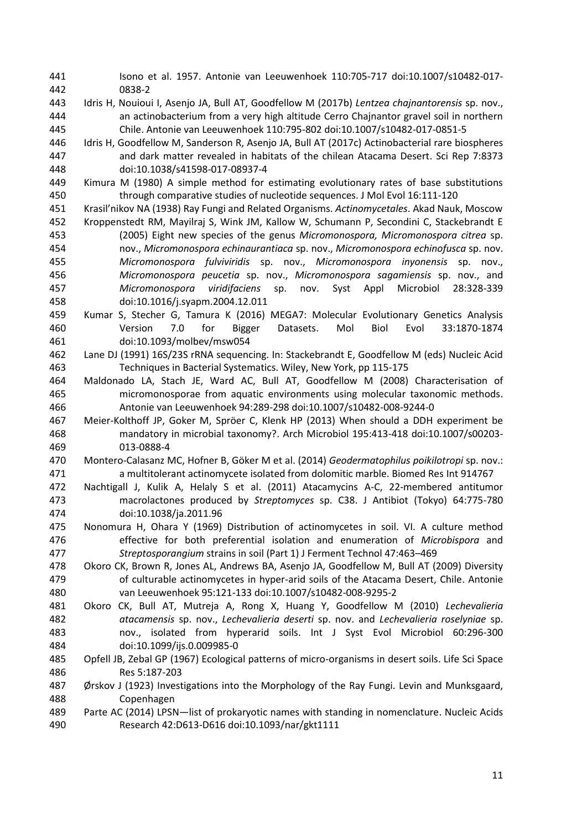Isono et al. 1957. Antonie van Leeuwenhoek 110:705-717 doi:10.1007/s10482-017- 0838-2 Idris H, Nouioui I, Asenjo JA, Bull AT, Goodfellow M (2017b) *Lentzea chajnantorensis* sp. nov., an actinobacterium from a very high altitude Cerro Chajnantor gravel soil in northern Chile. Antonie van Leeuwenhoek 110:795-802 doi:10.1007/s10482-017-0851-5 Idris H, Goodfellow M, Sanderson R, Asenjo JA, Bull AT (2017c) Actinobacterial rare biospheres and dark matter revealed in habitats of the chilean Atacama Desert. Sci Rep 7:8373 doi:10.1038/s41598-017-08937-4 Kimura M (1980) A simple method for estimating evolutionary rates of base substitutions through comparative studies of nucleotide sequences. J Mol Evol 16:111-120 Krasil'nikov NA (1938) Ray Fungi and Related Organisms. *Actinomycetales*. Akad Nauk, Moscow Kroppenstedt RM, Mayilraj S, Wink JM, Kallow W, Schumann P, Secondini C, Stackebrandt E (2005) Eight new species of the genus *Micromonospora, Micromonospora citrea* sp. nov., *Micromonospora echinaurantiaca* sp. nov., *Micromonospora echinofusca* sp. nov. *Micromonospora fulviviridis* sp. nov., *Micromonospora inyonensis* sp. nov., *Micromonospora peucetia* sp. nov., *Micromonospora sagamiensis* sp. nov., and *Micromonospora viridifaciens* sp. nov. Syst Appl Microbiol 28:328-339 doi:10.1016/j.syapm.2004.12.011 Kumar S, Stecher G, Tamura K (2016) MEGA7: Molecular Evolutionary Genetics Analysis Version 7.0 for Bigger Datasets. Mol Biol Evol 33:1870-1874 doi:10.1093/molbev/msw054 Lane DJ (1991) 16S/23S rRNA sequencing. In: Stackebrandt E, Goodfellow M (eds) Nucleic Acid Techniques in Bacterial Systematics. Wiley, New York, pp 115-175 Maldonado LA, Stach JE, Ward AC, Bull AT, Goodfellow M (2008) Characterisation of micromonosporae from aquatic environments using molecular taxonomic methods. Antonie van Leeuwenhoek 94:289-298 doi:10.1007/s10482-008-9244-0 Meier-Kolthoff JP, Goker M, Spröer C, Klenk HP (2013) When should a DDH experiment be mandatory in microbial taxonomy?. Arch Microbiol 195:413-418 doi:10.1007/s00203- 013-0888-4 Montero-Calasanz MC, Hofner B, Göker M et al. (2014) *Geodermatophilus poikilotropi* sp. nov.: a multitolerant actinomycete isolated from dolomitic marble. Biomed Res Int 914767 Nachtigall J, Kulik A, Helaly S et al. (2011) Atacamycins A-C, 22-membered antitumor macrolactones produced by *Streptomyces* sp. C38. J Antibiot (Tokyo) 64:775-780 doi:10.1038/ja.2011.96 Nonomura H, Ohara Y (1969) Distribution of actinomycetes in soil. VI. A culture method effective for both preferential isolation and enumeration of *Microbispora* and *Streptosporangium* strains in soil (Part 1) J Ferment Technol 47:463–469 Okoro CK, Brown R, Jones AL, Andrews BA, Asenjo JA, Goodfellow M, Bull AT (2009) Diversity of culturable actinomycetes in hyper-arid soils of the Atacama Desert, Chile. Antonie van Leeuwenhoek 95:121-133 doi:10.1007/s10482-008-9295-2 Okoro CK, Bull AT, Mutreja A, Rong X, Huang Y, Goodfellow M (2010) *Lechevalieria atacamensis* sp. nov., *Lechevalieria deserti* sp. nov. and *Lechevalieria roselyniae* sp. nov., isolated from hyperarid soils. Int J Syst Evol Microbiol 60:296-300 doi:10.1099/ijs.0.009985-0 Opfell JB, Zebal GP (1967) Ecological patterns of micro-organisms in desert soils. Life Sci Space Res 5:187-203 Ørskov J (1923) Investigations into the Morphology of the Ray Fungi. Levin and Munksgaard, Copenhagen Parte AC (2014) LPSN—list of prokaryotic names with standing in nomenclature. Nucleic Acids Research 42:D613-D616 doi:10.1093/nar/gkt1111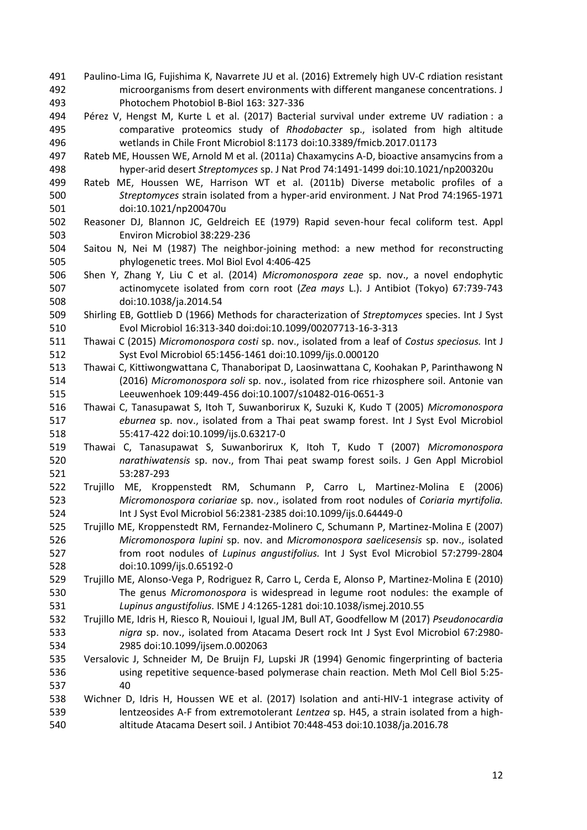- Paulino-Lima IG, Fujishima K, Navarrete JU et al. (2016) Extremely high UV-C rdiation resistant microorganisms from desert environments with different manganese concentrations. J Photochem Photobiol B-Biol 163: 327-336
- Pérez V, Hengst M, Kurte L et al. (2017) Bacterial survival under extreme UV radiation : a comparative proteomics study of *Rhodobacter* sp., isolated from high altitude wetlands in Chile Front Microbiol 8:1173 doi:10.3389/fmicb.2017.01173
- Rateb ME, Houssen WE, Arnold M et al. (2011a) Chaxamycins A-D, bioactive ansamycins from a hyper-arid desert *Streptomyces* sp. J Nat Prod 74:1491-1499 doi:10.1021/np200320u
- Rateb ME, Houssen WE, Harrison WT et al. (2011b) Diverse metabolic profiles of a *Streptomyces* strain isolated from a hyper-arid environment. J Nat Prod 74:1965-1971 doi:10.1021/np200470u
- Reasoner DJ, Blannon JC, Geldreich EE (1979) Rapid seven-hour fecal coliform test. Appl Environ Microbiol 38:229-236
- Saitou N, Nei M (1987) The neighbor-joining method: a new method for reconstructing phylogenetic trees. Mol Biol Evol 4:406-425
- Shen Y, Zhang Y, Liu C et al. (2014) *Micromonospora zeae* sp. nov., a novel endophytic actinomycete isolated from corn root (*Zea mays* L.). J Antibiot (Tokyo) 67:739-743 doi:10.1038/ja.2014.54
- Shirling EB, Gottlieb D (1966) Methods for characterization of *Streptomyces* species. Int J Syst Evol Microbiol 16:313-340 doi:doi:10.1099/00207713-16-3-313
- Thawai C (2015) *Micromonospora costi* sp. nov., isolated from a leaf of *Costus speciosus.* Int J Syst Evol Microbiol 65:1456-1461 doi:10.1099/ijs.0.000120
- Thawai C, Kittiwongwattana C, Thanaboripat D, Laosinwattana C, Koohakan P, Parinthawong N (2016) *Micromonospora soli* sp. nov., isolated from rice rhizosphere soil. Antonie van Leeuwenhoek 109:449-456 doi:10.1007/s10482-016-0651-3
- Thawai C, Tanasupawat S, Itoh T, Suwanborirux K, Suzuki K, Kudo T (2005) *Micromonospora eburnea* sp. nov., isolated from a Thai peat swamp forest. Int J Syst Evol Microbiol 55:417-422 doi:10.1099/ijs.0.63217-0
- Thawai C, Tanasupawat S, Suwanborirux K, Itoh T, Kudo T (2007) *Micromonospora narathiwatensis* sp. nov., from Thai peat swamp forest soils. J Gen Appl Microbiol 53:287-293
- Trujillo ME, Kroppenstedt RM, Schumann P, Carro L, Martinez-Molina E (2006) *Micromonospora coriariae* sp. nov., isolated from root nodules of *Coriaria myrtifolia.* Int J Syst Evol Microbiol 56:2381-2385 doi:10.1099/ijs.0.64449-0
- Trujillo ME, Kroppenstedt RM, Fernandez-Molinero C, Schumann P, Martinez-Molina E (2007) *Micromonospora lupini* sp. nov. and *Micromonospora saelicesensis* sp. nov., isolated from root nodules of *Lupinus angustifolius.* Int J Syst Evol Microbiol 57:2799-2804 doi:10.1099/ijs.0.65192-0
- Trujillo ME, Alonso-Vega P, Rodriguez R, Carro L, Cerda E, Alonso P, Martinez-Molina E (2010) The genus *Micromonospora* is widespread in legume root nodules: the example of *Lupinus angustifolius.* ISME J 4:1265-1281 doi:10.1038/ismej.2010.55
- Trujillo ME, Idris H, Riesco R, Nouioui I, Igual JM, Bull AT, Goodfellow M (2017) *Pseudonocardia nigra* sp. nov., isolated from Atacama Desert rock Int J Syst Evol Microbiol 67:2980- 2985 doi:10.1099/ijsem.0.002063
- Versalovic J, Schneider M, De Bruijn FJ, Lupski JR (1994) Genomic fingerprinting of bacteria using repetitive sequence-based polymerase chain reaction. Meth Mol Cell Biol 5:25- 40

#### Wichner D, Idris H, Houssen WE et al. (2017) Isolation and anti-HIV-1 integrase activity of lentzeosides A-F from extremotolerant *Lentzea* sp. H45, a strain isolated from a high-altitude Atacama Desert soil. J Antibiot 70:448-453 doi:10.1038/ja.2016.78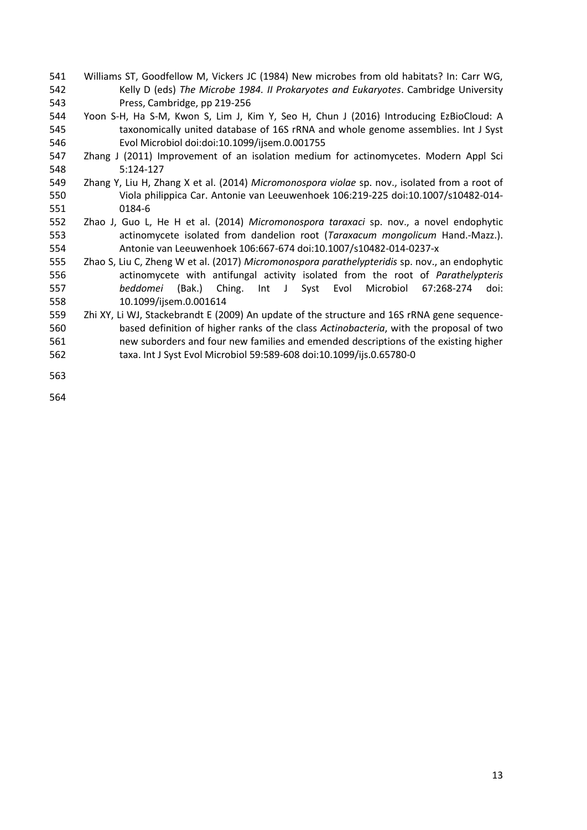- Williams ST, Goodfellow M, Vickers JC (1984) New microbes from old habitats? In: Carr WG, Kelly D (eds) *The Microbe 1984. II Prokaryotes and Eukaryotes*. Cambridge University Press, Cambridge, pp 219-256
- Yoon S-H, Ha S-M, Kwon S, Lim J, Kim Y, Seo H, Chun J (2016) Introducing EzBioCloud: A taxonomically united database of 16S rRNA and whole genome assemblies. Int J Syst Evol Microbiol doi:doi:10.1099/ijsem.0.001755
- Zhang J (2011) Improvement of an isolation medium for actinomycetes. Modern Appl Sci 5:124-127
- Zhang Y, Liu H, Zhang X et al. (2014) *Micromonospora violae* sp. nov., isolated from a root of Viola philippica Car. Antonie van Leeuwenhoek 106:219-225 doi:10.1007/s10482-014- 0184-6
- Zhao J, Guo L, He H et al. (2014) *Micromonospora taraxaci* sp. nov., a novel endophytic actinomycete isolated from dandelion root (*Taraxacum mongolicum* Hand.-Mazz.). Antonie van Leeuwenhoek 106:667-674 doi:10.1007/s10482-014-0237-x
- Zhao S, Liu C, Zheng W et al. (2017) *Micromonospora parathelypteridis* sp. nov., an endophytic actinomycete with antifungal activity isolated from the root of *Parathelypteris beddomei* (Bak.) Ching. Int J Syst Evol Microbiol 67:268-274 doi: 10.1099/ijsem.0.001614
- Zhi XY, Li WJ, Stackebrandt E (2009) An update of the structure and 16S rRNA gene sequence- based definition of higher ranks of the class *Actinobacteria*, with the proposal of two new suborders and four new families and emended descriptions of the existing higher taxa. Int J Syst Evol Microbiol 59:589-608 doi:10.1099/ijs.0.65780-0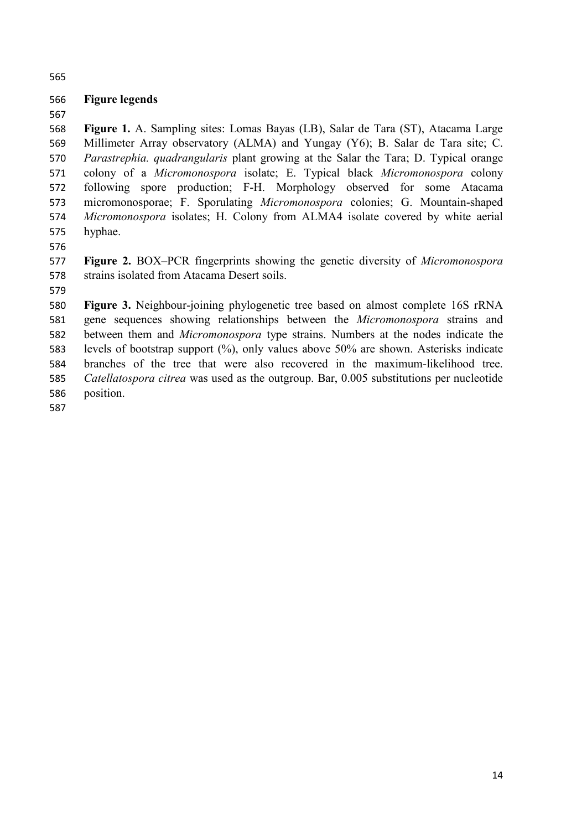#### **Figure legends**

 **Figure 1.** A. Sampling sites: Lomas Bayas (LB), Salar de Tara (ST), Atacama Large Millimeter Array observatory (ALMA) and Yungay (Y6); B. Salar de Tara site; C. *Parastrephia. quadrangularis* plant growing at the Salar the Tara; D. Typical orange colony of a *Micromonospora* isolate; E. Typical black *Micromonospora* colony following spore production; F-H. Morphology observed for some Atacama micromonosporae; F. Sporulating *Micromonospora* colonies; G. Mountain-shaped *Micromonospora* isolates; H. Colony from ALMA4 isolate covered by white aerial hyphae.

 **Figure 2.** BOX–PCR fingerprints showing the genetic diversity of *Micromonospora* strains isolated from Atacama Desert soils.

 **Figure 3.** Neighbour-joining phylogenetic tree based on almost complete 16S rRNA gene sequences showing relationships between the *Micromonospora* strains and between them and *Micromonospora* type strains. Numbers at the nodes indicate the levels of bootstrap support (%), only values above 50% are shown. Asterisks indicate branches of the tree that were also recovered in the maximum-likelihood tree. *Catellatospora citrea* was used as the outgroup. Bar, 0.005 substitutions per nucleotide position.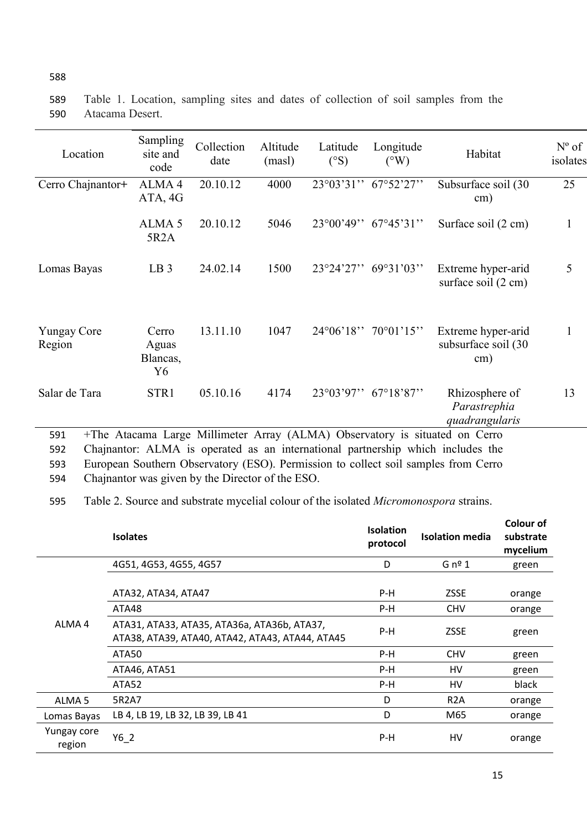| Location                     | Sampling<br>site and<br>code     | Collection<br>date | Altitude<br>(masl) | Latitude<br>$(^\circ S)$ | Longitude<br>$({}^{\circ}W)$             | Habitat                                                                     | $N^{\circ}$ of<br>isolates |
|------------------------------|----------------------------------|--------------------|--------------------|--------------------------|------------------------------------------|-----------------------------------------------------------------------------|----------------------------|
| Cerro Chajnantor+            | ALMA <sub>4</sub><br>ATA, 4G     | 20.10.12           | 4000               | $23^{\circ}03'31''$      | 67°52'27"                                | Subsurface soil (30<br>$\text{cm}$ )                                        | 25                         |
|                              | ALMA <sub>5</sub><br>5R2A        | 20.10.12           | 5046               | $23^{\circ}00'49"$       | $67^{\circ}45^{\prime}31^{\prime\prime}$ | Surface soil (2 cm)                                                         | 1                          |
| Lomas Bayas                  | LB <sub>3</sub>                  | 24.02.14           | 1500               | 23°24'27"                | 69°31'03"                                | Extreme hyper-arid<br>surface soil (2 cm)                                   | 5                          |
| <b>Yungay Core</b><br>Region | Cerro<br>Aguas<br>Blancas,<br>Y6 | 13.11.10           | 1047               | $24^{\circ}06'18"$       | $70^{\circ}01'15"$                       | Extreme hyper-arid<br>subsurface soil (30<br>$\text{cm}$ )                  | 1                          |
| Salar de Tara                | STR1                             | 05.10.16           | 4174               | 23°03'97''               | $67^{\circ}18'87"$                       | Rhizosphere of<br>Parastrephia<br>quadrangularis                            | 13                         |
| 591                          |                                  |                    |                    |                          |                                          | +The Atacama Large Millimeter Array (ALMA) Observatory is situated on Cerro |                            |

589 Table 1. Location, sampling sites and dates of collection of soil samples from the 590 Atacama Desert.

592 Chajnantor: ALMA is operated as an international partnership which includes the 593 European Southern Observatory (ESO). Permission to collect soil samples from Cerro

594 Chajnantor was given by the Director of the ESO.

595 Table 2. Source and substrate mycelial colour of the isolated *Micromonospora* strains.

|                       | <b>Isolates</b>                                                                                | <b>Isolation</b><br>protocol | <b>Isolation media</b> | Colour of<br>substrate<br>mycelium |
|-----------------------|------------------------------------------------------------------------------------------------|------------------------------|------------------------|------------------------------------|
| ALMA <sub>4</sub>     | 4G51, 4G53, 4G55, 4G57                                                                         | D                            | $G$ nº 1               | green                              |
|                       | ATA32, ATA34, ATA47                                                                            | P-H                          | <b>ZSSE</b>            | orange                             |
|                       | ATA48                                                                                          | P-H                          | <b>CHV</b>             | orange                             |
|                       | ATA31, ATA33, ATA35, ATA36a, ATA36b, ATA37,<br>ATA38, ATA39, ATA40, ATA42, ATA43, ATA44, ATA45 | P-H                          | <b>ZSSE</b>            | green                              |
|                       | ATA50                                                                                          | $P-H$                        | <b>CHV</b>             | green                              |
|                       | ATA46, ATA51                                                                                   | P-H                          | HV                     | green                              |
|                       | ATA52                                                                                          | P-H                          | HV                     | black                              |
| ALMA <sub>5</sub>     | 5R2A7                                                                                          | D                            | R <sub>2</sub> A       | orange                             |
| Lomas Bayas           | LB 4, LB 19, LB 32, LB 39, LB 41                                                               | D                            | M65                    | orange                             |
| Yungay core<br>region | Y6 2                                                                                           | $P-H$                        | HV                     | orange                             |